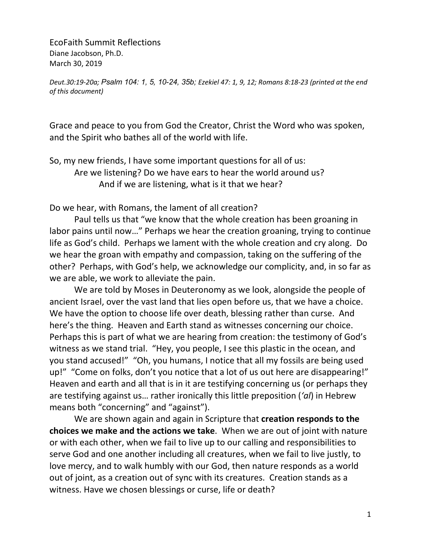EcoFaith Summit Reflections Diane Jacobson, Ph.D. March 30, 2019

*Deut.30:19-20a; Psalm 104: 1, 5, 10-24, 35b; Ezekiel 47: 1, 9, 12; Romans 8:18-23 (printed at the end of this document)*

Grace and peace to you from God the Creator, Christ the Word who was spoken, and the Spirit who bathes all of the world with life.

So, my new friends, I have some important questions for all of us: Are we listening? Do we have ears to hear the world around us? And if we are listening, what is it that we hear?

Do we hear, with Romans, the lament of all creation?

Paul tells us that "we know that the whole creation has been groaning in labor pains until now…" Perhaps we hear the creation groaning, trying to continue life as God's child. Perhaps we lament with the whole creation and cry along. Do we hear the groan with empathy and compassion, taking on the suffering of the other? Perhaps, with God's help, we acknowledge our complicity, and, in so far as we are able, we work to alleviate the pain.

We are told by Moses in Deuteronomy as we look, alongside the people of ancient Israel, over the vast land that lies open before us, that we have a choice. We have the option to choose life over death, blessing rather than curse. And here's the thing. Heaven and Earth stand as witnesses concerning our choice. Perhaps this is part of what we are hearing from creation: the testimony of God's witness as we stand trial. "Hey, you people, I see this plastic in the ocean, and you stand accused!" "Oh, you humans, I notice that all my fossils are being used up!" "Come on folks, don't you notice that a lot of us out here are disappearing!" Heaven and earth and all that is in it are testifying concerning us (or perhaps they are testifying against us… rather ironically this little preposition (*'al*) in Hebrew means both "concerning" and "against").

We are shown again and again in Scripture that **creation responds to the choices we make and the actions we take**. When we are out of joint with nature or with each other, when we fail to live up to our calling and responsibilities to serve God and one another including all creatures, when we fail to live justly, to love mercy, and to walk humbly with our God, then nature responds as a world out of joint, as a creation out of sync with its creatures. Creation stands as a witness. Have we chosen blessings or curse, life or death?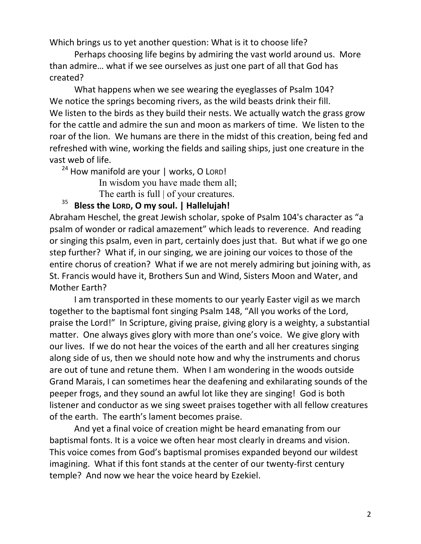Which brings us to yet another question: What is it to choose life?

Perhaps choosing life begins by admiring the vast world around us. More than admire… what if we see ourselves as just one part of all that God has created?

What happens when we see wearing the eyeglasses of Psalm 104? We notice the springs becoming rivers, as the wild beasts drink their fill. We listen to the birds as they build their nests. We actually watch the grass grow for the cattle and admire the sun and moon as markers of time. We listen to the roar of the lion. We humans are there in the midst of this creation, being fed and refreshed with wine, working the fields and sailing ships, just one creature in the vast web of life.

 $24$  How manifold are your | works, O LORD!

In wisdom you have made them all;

The earth is full | of your creatures.

# <sup>35</sup> **Bless the LORD, O my soul. | Hallelujah!**

Abraham Heschel, the great Jewish scholar, spoke of Psalm 104's character as "a psalm of wonder or radical amazement" which leads to reverence. And reading or singing this psalm, even in part, certainly does just that. But what if we go one step further? What if, in our singing, we are joining our voices to those of the entire chorus of creation? What if we are not merely admiring but joining with, as St. Francis would have it, Brothers Sun and Wind, Sisters Moon and Water, and Mother Earth?

I am transported in these moments to our yearly Easter vigil as we march together to the baptismal font singing Psalm 148, "All you works of the Lord, praise the Lord!" In Scripture, giving praise, giving glory is a weighty, a substantial matter. One always gives glory with more than one's voice. We give glory with our lives. If we do not hear the voices of the earth and all her creatures singing along side of us, then we should note how and why the instruments and chorus are out of tune and retune them. When I am wondering in the woods outside Grand Marais, I can sometimes hear the deafening and exhilarating sounds of the peeper frogs, and they sound an awful lot like they are singing! God is both listener and conductor as we sing sweet praises together with all fellow creatures of the earth. The earth's lament becomes praise.

And yet a final voice of creation might be heard emanating from our baptismal fonts. It is a voice we often hear most clearly in dreams and vision. This voice comes from God's baptismal promises expanded beyond our wildest imagining. What if this font stands at the center of our twenty-first century temple? And now we hear the voice heard by Ezekiel.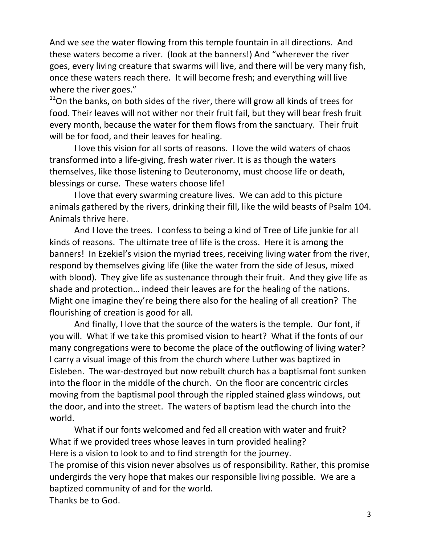And we see the water flowing from this temple fountain in all directions. And these waters become a river. (look at the banners!) And "wherever the river goes, every living creature that swarms will live, and there will be very many fish, once these waters reach there. It will become fresh; and everything will live where the river goes."

 $12$ On the banks, on both sides of the river, there will grow all kinds of trees for food. Their leaves will not wither nor their fruit fail, but they will bear fresh fruit every month, because the water for them flows from the sanctuary. Their fruit will be for food, and their leaves for healing.

I love this vision for all sorts of reasons. I love the wild waters of chaos transformed into a life-giving, fresh water river. It is as though the waters themselves, like those listening to Deuteronomy, must choose life or death, blessings or curse. These waters choose life!

I love that every swarming creature lives. We can add to this picture animals gathered by the rivers, drinking their fill, like the wild beasts of Psalm 104. Animals thrive here.

And I love the trees. I confess to being a kind of Tree of Life junkie for all kinds of reasons. The ultimate tree of life is the cross. Here it is among the banners! In Ezekiel's vision the myriad trees, receiving living water from the river, respond by themselves giving life (like the water from the side of Jesus, mixed with blood). They give life as sustenance through their fruit. And they give life as shade and protection… indeed their leaves are for the healing of the nations. Might one imagine they're being there also for the healing of all creation? The flourishing of creation is good for all.

And finally, I love that the source of the waters is the temple. Our font, if you will. What if we take this promised vision to heart? What if the fonts of our many congregations were to become the place of the outflowing of living water? I carry a visual image of this from the church where Luther was baptized in Eisleben. The war-destroyed but now rebuilt church has a baptismal font sunken into the floor in the middle of the church. On the floor are concentric circles moving from the baptismal pool through the rippled stained glass windows, out the door, and into the street. The waters of baptism lead the church into the world.

What if our fonts welcomed and fed all creation with water and fruit? What if we provided trees whose leaves in turn provided healing? Here is a vision to look to and to find strength for the journey. The promise of this vision never absolves us of responsibility. Rather, this promise undergirds the very hope that makes our responsible living possible. We are a baptized community of and for the world. Thanks be to God.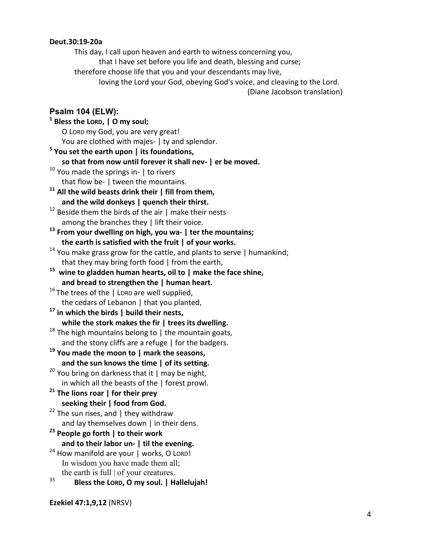#### **Deut.30:19-20a**

This day, I call upon heaven and earth to witness concerning you, that I have set before you life and death, blessing and curse; therefore choose life that you and your descendants may live, loving the Lord your God, obeying God's voice, and cleaving to the Lord.

(Diane Jacobson translation)

## **Psalm 104 (ELW):**

### **<sup>1</sup> Bless the LORD, | O my soul;** O LORD my God, you are very great! You are clothed with majes- I ty and splendor. **<sup>5</sup> You set the earth upon | its foundations, so that from now until forever it shall nev- | er be moved.** <sup>10</sup> You made the springs in- | to rivers that flow be- | tween the mountains. **<sup>11</sup> All the wild beasts drink their | fill from them, and the wild donkeys | quench their thirst.**  $12$  Beside them the birds of the air | make their nests among the branches they | lift their voice. **<sup>13</sup> From your dwelling on high, you wa- | ter the mountains; the earth is satisfied with the fruit | of your works.**  $14$  You make grass grow for the cattle, and plants to serve | humankind; that they may bring forth food | from the earth, **15 wine to gladden human hearts, oil to | make the face shine, and bread to strengthen the | human heart.**  $16$  The trees of the | LORD are well supplied, the cedars of Lebanon | that you planted, **<sup>17</sup> in which the birds | build their nests, while the stork makes the fir | trees its dwelling.**  $18$  The high mountains belong to | the mountain goats, and the stony cliffs are a refuge | for the badgers. **<sup>19</sup> You made the moon to | mark the seasons, and the sun knows the time | of its setting.** <sup>20</sup> You bring on darkness that it  $\mid$  may be night, in which all the beasts of the | forest prowl. **<sup>21</sup> The lions roar | for their prey seeking their | food from God.**  $22$  The sun rises, and | they withdraw and lay themselves down | in their dens. **<sup>23</sup> People go forth | to their work and to their labor un- | til the evening.**  $24$  How manifold are your | works, O LORD! In wisdom you have made them all; the earth is full  $\vert$  of your creatures. <sup>35</sup> **Bless the LORD, O my soul. | Hallelujah!**

**Ezekiel 47:1,9,12** (NRSV)